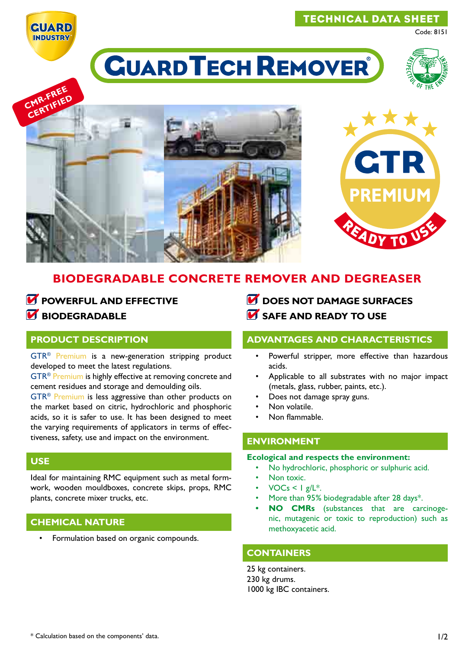

# technical data sheet

Code: 8151

# **CUARD TECH REMOVER**







# **biodegradable concrete remover and degreaser**

# *M* POWERFUL AND EFFECTIVE *<u><b>biodegradable</u>*</u>

#### **product description**

GTR® Premium is a new-generation stripping product developed to meet the latest regulations.

GTR® Premium is highly effective at removing concrete and cement residues and storage and demoulding oils.

GTR® Premium is less aggressive than other products on the market based on citric, hydrochloric and phosphoric acids, so it is safer to use. It has been designed to meet the varying requirements of applicators in terms of effectiveness, safety, use and impact on the environment.

## **use**

Ideal for maintaining RMC equipment such as metal formwork, wooden mouldboxes, concrete skips, props, RMC plants, concrete mixer trucks, etc.

## **chemical nature**

Formulation based on organic compounds.

- **DOES NOT DAMAGE SURFACES**
- *M* SAFE AND READY TO USE

#### **advantages and characteristics**

- Powerful stripper, more effective than hazardous acids.
- Applicable to all substrates with no major impact (metals, glass, rubber, paints, etc.).
- Does not damage spray guns.
- Non volatile.
- Non flammable

## **environment**

#### **Ecological and respects the environment:**

- No hydrochloric, phosphoric or sulphuric acid.
- Non toxic.
- $VOCs < Ig/L^*$ .
- More than 95% biodegradable after 28 days\*.
- **NO CMRs** (substances that are carcinogenic, mutagenic or toxic to reproduction) such as methoxyacetic acid.

## **containers**

25 kg containers. 230 kg drums. 1000 kg IBC containers.